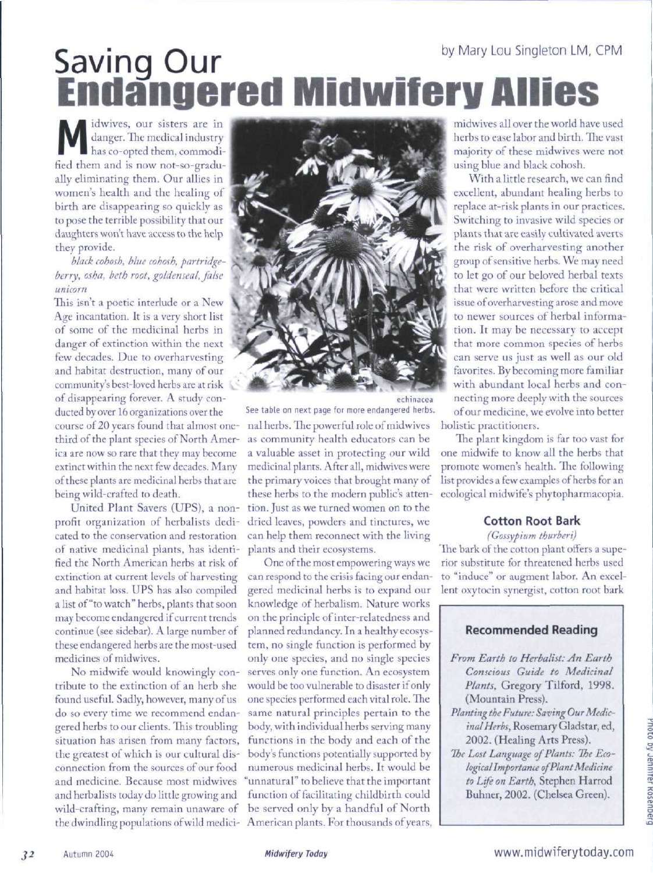# by Mary Lou Singleton LM, CPM **Saving Our Endangered Midwifery Aiiies**

danger. The medical industry<br>has co-opted them, commodiidwives, our sisters are in has co-opted them, commodified them and is now not-so-gradually eliminating them. Our allies in women's health and the healing of birth are disappearing so quickly as to pose the terrihle possibility that our daughters won't have access to the help they provide.

*black cohosh. blue cohosh, partridgeberry, osha, beth root, goldenseal, fahe unicorn*

This isn't a poetic interlude or a New Age incantation. It is a very short list of some of the medicinal herbs in danger of extinction within the next few decades. Due to overharvesting and habitat destruction, many of our community's best-loved herbs are at risk ^' of disappearing forever. A study conducted by over 16 organizations over the

course of 20 years found that almost onethird of the plant species of North America are now so rare that they may become extinct within the next few decades. Many of these plants are medicinal herbs that are being wild-crafted to death.

United Plant Savers (UPS), a nonprofit organization of herbalists dedicated to the conservation and restoration of native medicinal plants, has identified the North American herbs at risk of extinction at current levels of harvesting and habitat loss. UPS has also compiled a list of "to watch" herbs, plants that soon may become endangered if current trends continue (see sidebar). A large number of these endangered herbs are the most-used medicines of midwives.

No midwife would knowingly contribute to the extinction of an herb she found useful. Sadly, however, many of us do so every time we recommend endangered herbs to our clients. This troubling situation has arisen from many factors, the greatest of which is our cultural disconnection from the sources of our food and medicine. Because most midwives and herbalists today do little growing and wild-crafting, many remain unaware ot



echinacea See table on next page for more endangered herbs.

nal herbs. The powerful role of midwives as community health educators can be a valuable asset in protecting our wild medicinal plants. After all, midwives were the primary voices that brought many of these herbs to the modern public's attention. Just as we turned women on to the dried leaves, powders and tinctures, we can help them reconnect with the living plants and their ecosystems.

the dwindling populations of wild medici-American plants. For thousands of years, One of the most empowering ways we can respond to the crisis facing our endangered medicinal herbs is to expand our knowledge of herbalism. Nature works on the principle of inter-relatedness and planned redundancy. In a healthy ecosystem, no single function is performed by only one species, and no single species serves only one function. An ecosystem would be too vulnerable to disaster if only one species performed each vital role. The same natural principles pertain to the body, with individual herbs serving many functions in the body and each of the body's functions potentially supported by numerous medicinal herbs. It would be "unnatural" to believe that the important function of facilitating childbirth could be served only by a handful of North

midwives all over the world have used herbs to ease labor and birth. The vast majority of these midwives were not using blue and black cohosh.

With a little research, we can find excellent, abundant healing herbs to replace at-risk plants in our practices. Switching to invasive wild species or plants that are easily cultivated averts the risk of overharvesting another group of sensitive herbs. We may need to let go of our beloved herbal texts that were written before the critical issue of overharvesting arose and move to newer sources of herbal information. It may be necessary to accept that more common species of herbs can serve us just as well as our old favorites. By becoming more familiar with abundant local herbs and connecting more deeply with the sources of our medicine, we evolve into better holistic practitioners.

The plant kingdom is far too vast for one midwife to know all the herbs that promote women's health. The following list provides a few examples of herbs for an ecological midwife's phytopharmacopia.

### **Cotton Root Bark**

*(Gossypium thurberi)*

The bark of the cotton plant offers a superior substitute for threatened herbs used to "induce" or augment labor. An excellent oxytocin synergist, cotton root bark

### **Recommended Reading**

- *From Earth to Herbalist: An Earth Conscious Guide to Medicinal Plants,* Gregory Tilford, 1998. (Mountain Press).
- Planting the Future: Saving Our Medic*inal Herbs,* Rosemary Gladstar, ed, 2002. (Healing Arts Press).
- *The Lost Language of Plants: The Ecological Importance of Plant Medicine to Life on Earth,* Stephen Harrod Buhner, 2002. (Chelsea Green).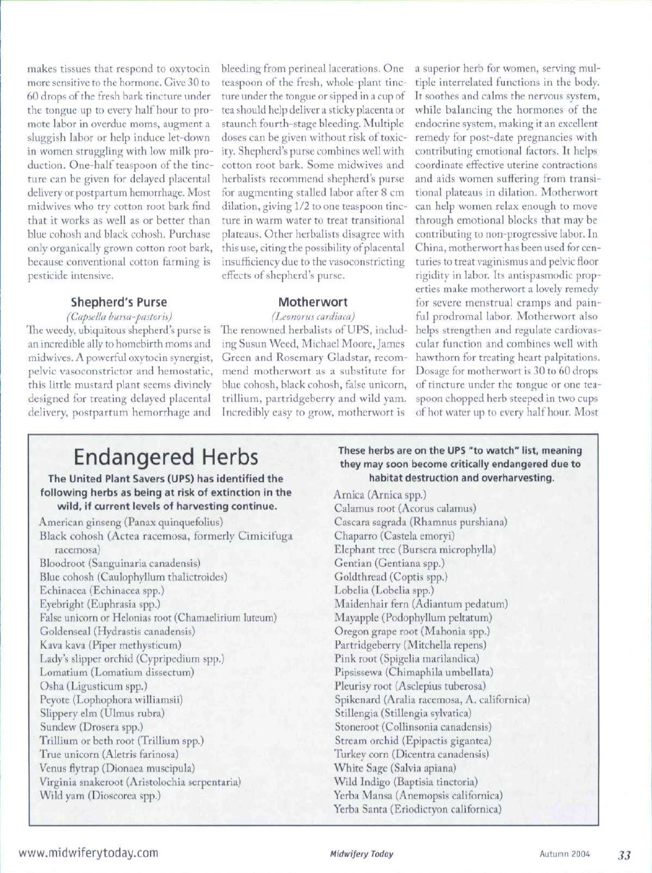makes tissues that respond to oxytocin more sensitive to the hormone. Give 30 to 60 drops ot the fresh bark tincture under the tongue up to every half hour to promote labor in overdue moms, augment a sluggish labor or help induce let-down in women struggling with low milk production. One-half teaspoon of the tincture can be given for delayed placenta] delivery or postpartum hemorrhage. Most midwives who try cotton root bark find that it works as well as or better than blue cohosh and black cohosh. Purchase only organically grown cotton root bark, because conventional cotton farming is pesticide intensive.

#### **Shepherd's Purse**

*(Capsella bursa-pastoris)* The weedy, ubiquitous shepherd's purse is an incredible ally to homebirth moms and midwives. A powerful oxytocin synergist, pelvic vasoconstrictor and hemostatic, this little mustard plant seems divinely designed for treating delayed placental delivery, postpartum hemorrhage and

bleeding from perineal lacerations. One teaspoon of the fresh, whole-plant tincture under the tongue or sipped in a cup of tea should help deliver a sticky placenta or staunch fourth-stage bleeding. Multiple doses can be given without risk of toxicity. Shepherd's purse combines well with cotton root bark. Some midwives and herbalists recommend shepherd's purse for augmenting stalled labor after 8 cm dilation, giving 1/2 to one teaspoon tincture in warm water to treat transitional plateaus. Other herbalists disagree with this use, citing the possibility of placental insufficiency due to the vasoconstricting effects of shepherd's purse.

#### **Motherwort**

*(I.eoiwrus cardiaca)*

The renowned herbalists of UPS, including Susun Weed, Michael Moore, James Green and Rosemary Gladstar, recommend motherwort as a substitute for blue cohosh, black cohosh, false unicorn, trillium, partridgeberry and wild yam. spoon chopped herb steeped in two cups Incredibly easy to grow, motherwort is of hot water up to every half hour. Most

a superior herb for women, serving multiple interrelated functions in the body. It soothes and calms the nervous system, while balancing the hormones of the endocrine system, making it an excellent remedy for post-date pregnancies with contributing emotional factors. It helps coordinate effective uterine contractions and aids women suffering from transitional plateaus in dilation. Motherwort can help women relax enough to move through emotional blocks that may be contributing to non-progressive labor. In China, motherwort has been used for centuries to treat vaginismus and pelvic floor rigidity in labor. Its antispasmodic properties make motherwort a lovely remedy for severe menstrual cramps and painful prodromal labor. Motherwort also helps strengthen and regulate cardiovascular function and combines well with hawthorn for treating heart palpitations. Dosage for motherwort is 30 to 60 drops of tincture under the tongue or one tea-

## Endangered Herbs

The United Plant Savers (UPS) has identified the following herbs as being at risk of extinction in the wild, if current levels of harvesting continue.

#### These herbs are on the UPS "to watch" list, meaning they may soon become critically endangered due to habitat destruction and overharvesting.

Arnica (Arnica spp.) Calamus root (Acorus calamus) Cascara sagrada (Rhamnus purshiana) Chaparro (Castela emoryi) Elephant tree (Bursera microphylla) Gentian (Gentiana spp.) Goldthread (Coptis spp.) Lobelia (Lobelia spp.) Maidenhair fern (Adiantum pedatum) Mayapple (Podophyllum peltatum) Oregon grape root (Mahonia spp.) Partridgeberry (Mitchella repens) Pink root (Spigelia marilandica) Pipsissewa {Chimaphila umbellata) Pleurisy root (Asclepius tuberosa) Spikenard {Aralia racemosa, A. californica) Stillengia (Stillengia sylvatica) Stoneroot (Collinsonia canadensis} Stream orchid (Epipactis gigantea) Turkey corn (Dicentra canadensis) White Sage (Salvia apiana) Wild Indigo (Baptisia tinctoria) Yerba Mansa (Anemopsis californica) Yerba Santa (Eriodictyon californica)

#### www.midwiferytoday.com **33** Midwifery Today Midwifery Today

American ginseng (Panax quinquefolius) Black cohosh (Actea racemosa, formerly Cimicifuga racemosa) Bloodroot (Sanguinaria canadensis) Blue cohosh (Caulophyllum thalictroides) Echinacea (Echinacea spp.) Eyebright (Euphrasia spp.) False unicorn or Helonias root (Chamaelirium luteum) Goldenseal (Hydrastis canadensis) Kava kava (Piper methysticum) Lady's slipper orchid (Cypripedium spp.) Lomatium (Lomatium dissectum) Osha (Ligusticum spp.) Peyote {Lophophora williamsii) Slippery elm (Ulmus rubra) Sundew (Drosera spp.) Trillium or beth root {Trillium spp.) True unicorn (Aletris farinosa) Venus flytrap (Dionaea muscipula) Virginia snakeroot (Aristolochia serpentaria) Wild yam (Dioscorea spp.)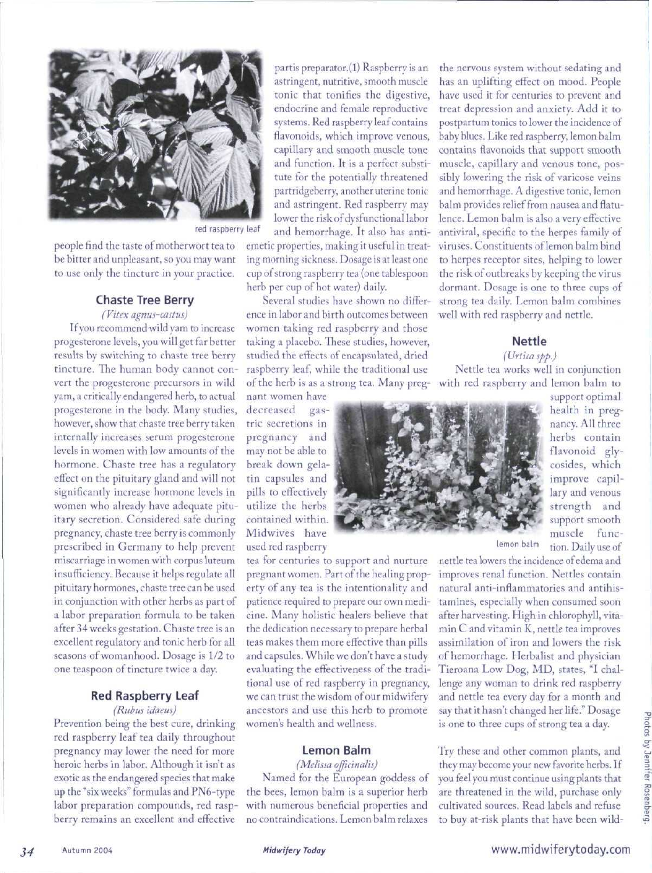

red raspberry leaf

people find the taste of motherwort tea to be bitter and unpleasant, so you may want to use only the tincture in your practice.

#### **Chaste Tree Berry**

*(Vitex agnus-castus)* If you recommend wild yam to increase progesterone levels, you will get far better results by switching to chaste tree berry tincture. The human body cannot convert the progesterone precursors in wild yam, a critically endangered herb, to actual progesterone in the body. Many studies, however, show that chaste tree berry taken internally increases serum progesterone levels in women with low amounts of the hormone. Chaste tree has a regulatory effect on the pituitary gland and will not significantly increase hormone levels in women who already have adequate pituitary secretion. Considered safe during pregnancy, chaste tree berry is commonly prescribed in Germany to help prevent miscarriage in women with corpus luteum insufficiency. Because it helps regulate all pituitary hormones, chaste tree can be used in conjunction with other herbs as part of a labor preparation formula to be taken after 34 weeks gestation. Chaste tree is an excellent regulatory and tonie herb for all seasons of womanhood. Dosage is 1/2 to one teaspoon of tincture twice a day.

## **Red Raspberry Leaf**

*(Riibus idaeus)* Prevention being the best cure, drinking red raspberry leaf tea daily throughout pregnancy may lower the need for more heroic herbs in labor. Although it isn't as exotic as the endangered species that make up the "six weeks" formulas and PN6-type labor preparation compounds, red raspberry remains an excellent and effective partis preparator.(l) Raspberry is an astringent, nutritive, smooth muscle tonic that tonifies the digestive, endocrine and female reproductive systems. Red raspberry leaf contains flavonoids, which improve venous, capillary and smooth muscle tone and function. It is a perfect substitute for the potentially threatened partridgeberry, another uterine tonic and astringent. Red raspberry may lower the risk of dysfunctional labor and hemorrhage. It also has anti-

emetic properties, making it useful in treating morning sickness. Dosage is at least one cup of strong raspberry tea {one tablespoon herb per cup of bot water) daily.

Several studies have shown no difference in labor and birth outcomes between women taking red raspberry and those taking a placebo. These studies, however, studied the effects of encapsulated, dried raspberry leaf, while the traditional use of the herb is as a strong tea. Many preg-with red raspberry and lemon balm to

nant women have decreased gastric secretions in pregnancy and may not be able to break down gelatin capsules and pills to effectively utilize the herbs contained within. Midwives have used red raspberry

tea for centuries to support and nurture pregnant women. Part of the healing property of any tea is the intentionality and patience required to prepare our own medicine. Many holistic healers believe that the dedication necessary to prepare herbal teas makes them more effective than pills and capsules. While we don't have a study evaluating the effectiveness of the traditional use of red raspberry in pregnancy, we can trust the wisdom of our midwifery ancestors and use this herb to promote women's health and wellness.

#### **Lemon Balm**

*{Melissa officinalis)*

Named for the European goddess of the bees, lemon balm is a superior herb with numerous beneficial properties and no contraindications. Lemon balm relaxes

the nervous system without sedating and has an uplifting effect on mood. People have used it for centuries to prevent and treat depression and anxiety. Add it to postpartum tonics to lower the incidence of baby blues. Like red raspberry, lemon balm contains flavonoids that support smooth muscle, capillary and venous tone, possibly lowering the risk of varicose veins and hemorrhage. A digestive tonic, lemon balm provides relief from nausea and flatulence. Lemon balm is also a very effective antiviral, specific to the herpes family of viruses. Constituents of lemon balm bind to herpes receptor sites, helping to lower the risk of outbreaks by keeping the virus dormant. Dosage is one to three cups of strong tea daily. Lemon balm combines well with red raspberry and nettle.

#### **Nettle**

#### *(Urtica spp.)*

Nettle tea works well in conjunction



support optimal health in pregnancy. All three herbs contain flavonoid glycosides, which improve capillary and venous strength and support smooth muscle funclemon balm tion. Daily use of

nettle tea lowers the incidence of edema and improves renal function. Nettles contain natural anti-inflammatories and antihistamines, especially when consumed soon after harvesting. High in chlorophyll, vitamin C and vitamin K, nettle tea improves assimilation of iron and lowers the risk of hemorrhage. Herbalist and physician Tieroana Low Dog, MD, states, "I challenge any woman to drink red raspberry and nettle tea every day for a month and say that it hasn't changed her life." Dosage is one to three cups of strong tea a day.

Try these and other common plants, and they may become your new favorite herbs. If you feel you must continue using plants that are threatened in the wild, purchase only cultivated sources. Read labels and refuse to buy at-risk plants that have been wild-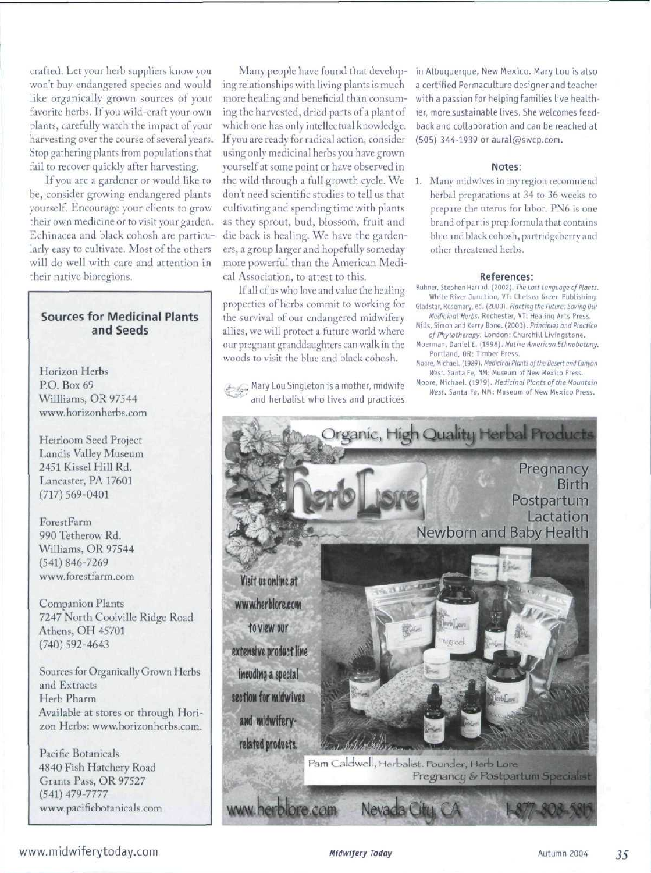crafted. Let your herb suppliers know you won't buy endangered species and would like organically grown sources of your favorite herbs. If you wild-craft your own plants, carefully watch the impact of your harvesting over the course of several years. Stop gathering plants from populations that fail to recover quickly after harvesting.

If you are a gardener or would like to be, consider growing endangered plants yourself. Encourage your clients to grow their own medicine or to visit your garden. Echinacea and black cohosh are particularly easy to cultivate. Most of the others will do well with care and attention in their native bioregions.

#### Sources for Medicinal Plants and Seeds

Horizon Herbs P.O. Box 69 Willlisms, OR 97544 www. horizonherbs.com

Heirloom Seed Project Landis Valley Museum 2451 Kissel Hill Rd. Lancaster, PA 17601  $(717)569-0401$ 

ForestFarm 990 Tetherow Rd. Williams, OR 97544 (541) 846-7269 www.forestfarm.com

Companion Plants 7247 North Coolville Ridge Road Athens, OH 45701 (740) 592-4643

Sources for Organically Grown Herbs and Extracts Herb Pharm Available at stores or through Horizon Herbs: www.horizonherbs.com.

Pacific Botanicals 4840 Fish Hatchery Road Grants Pass, OR 97527 (541) *A19-7771* www.pacificbotanicals.com ing relationships with living plants is much more healing and beneficial than consuming the harvested, dried parts of a plant of which one has only intellectual knowledge. If you are ready for radical action, consider using only medicinal herbs you have grown yourself at some point or have observed in the wild through a full growth cycle. We don't need scientific studies to tell us that cultivating and spending time with plants as they sprout, bud, blossom, fruit and die back is healing. We have the gardeners, a group larger and hopefully someday more powerful than the American Medical Association, to attest to this.

It all of us who love and value the healing properties of herbs commit to working for the survival of our endangered midwifery allies, we will protect a future world where our pregnant granddaughters can walk in the woods to visit the blue and black cohosh.

 $\Box$  Mary Lou Singleton is a mother, midwife and herbalist who lives and practices

Many people have found that develop- in Albuquerque, New Mexico. Mary Lou is also a certified Permaculture designer and teacher with a passion for helping families live healthier, more sustainable lives. She welcomes feedback and collaboration and can be reached at (505) 344-1939 or aural@swcp.com.

#### **Notes;**

1. Many midwives in my region recommend herhal preparations at 34 to 36 weeks to prepare the uterus tor labor. PN6 is one brand of partis prep formula that contains blue and black cohosh, partridgeberry and other threatened herbs.

#### References:

- Buhner, Stephen Harrod. (2002). The Lost Language of Plants. White Rivet Junction, VT: Chelsea Green Publishing, Gladstar, Rosemary, ed. (2000). Planting the Future: Saving Our
- Medicinal Herbs. Rochester. VT: Healing Arts Press. Mills, Simon and Kerry Bone. (2000). Principles and Practice
- of Phytotherapy. London: Churchill Livingstone. Mcerman, Daniel E. {199B]. Native American Ethnobotany.
- Portland, OR: Timber Press.
- Moore, Michael. {19S9). Medicinal Plants of the Desert and Canyor} West. Santa Fe, NM: Museum of New Mexico Press. Moore, Michael. (1979). Medicinal Plants of the Mountain
- West. Santa Fe, NM: Museum of New Mexico Press.



www.midwiferytoday.com **Midwifery Today** Midwifery Today 7004 755